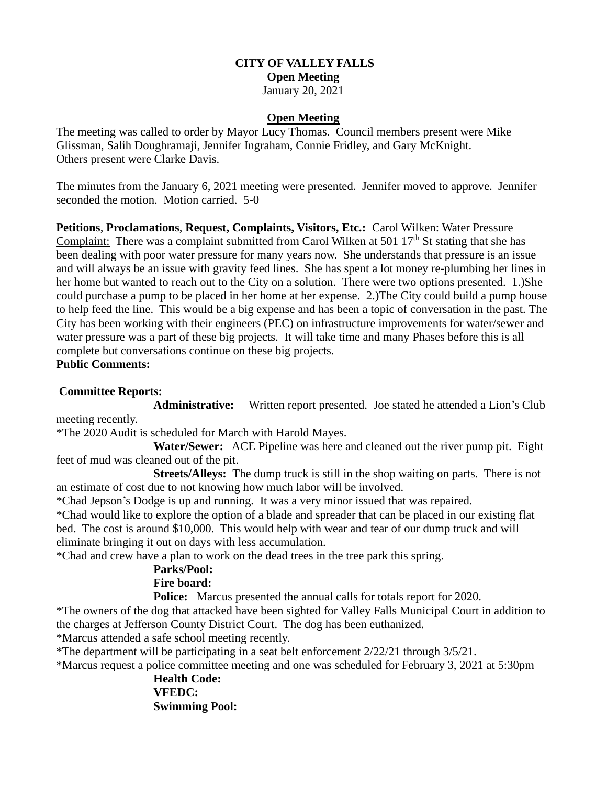## **CITY OF VALLEY FALLS Open Meeting** January 20, 2021

#### **Open Meeting**

The meeting was called to order by Mayor Lucy Thomas. Council members present were Mike Glissman, Salih Doughramaji, Jennifer Ingraham, Connie Fridley, and Gary McKnight. Others present were Clarke Davis.

The minutes from the January 6, 2021 meeting were presented. Jennifer moved to approve. Jennifer seconded the motion. Motion carried. 5-0

**Petitions**, **Proclamations**, **Request, Complaints, Visitors, Etc.:** Carol Wilken: Water Pressure Complaint: There was a complaint submitted from Carol Wilken at 501  $17<sup>th</sup>$  St stating that she has been dealing with poor water pressure for many years now. She understands that pressure is an issue and will always be an issue with gravity feed lines. She has spent a lot money re-plumbing her lines in her home but wanted to reach out to the City on a solution. There were two options presented. 1.)She could purchase a pump to be placed in her home at her expense. 2.)The City could build a pump house to help feed the line. This would be a big expense and has been a topic of conversation in the past. The City has been working with their engineers (PEC) on infrastructure improvements for water/sewer and water pressure was a part of these big projects. It will take time and many Phases before this is all complete but conversations continue on these big projects. **Public Comments:**

### **Committee Reports:**

**Administrative:** Written report presented. Joe stated he attended a Lion's Club meeting recently.

\*The 2020 Audit is scheduled for March with Harold Mayes.

 **Water/Sewer:** ACE Pipeline was here and cleaned out the river pump pit. Eight feet of mud was cleaned out of the pit.

 **Streets/Alleys:** The dump truck is still in the shop waiting on parts. There is not an estimate of cost due to not knowing how much labor will be involved.

\*Chad Jepson's Dodge is up and running. It was a very minor issued that was repaired.

\*Chad would like to explore the option of a blade and spreader that can be placed in our existing flat bed. The cost is around \$10,000. This would help with wear and tear of our dump truck and will eliminate bringing it out on days with less accumulation.

\*Chad and crew have a plan to work on the dead trees in the tree park this spring.

# **Parks/Pool:**

### **Fire board:**

**Police:** Marcus presented the annual calls for totals report for 2020.

\*The owners of the dog that attacked have been sighted for Valley Falls Municipal Court in addition to the charges at Jefferson County District Court. The dog has been euthanized.

\*Marcus attended a safe school meeting recently.

\*The department will be participating in a seat belt enforcement 2/22/21 through 3/5/21.

\*Marcus request a police committee meeting and one was scheduled for February 3, 2021 at 5:30pm

**Health Code: VFEDC: Swimming Pool:**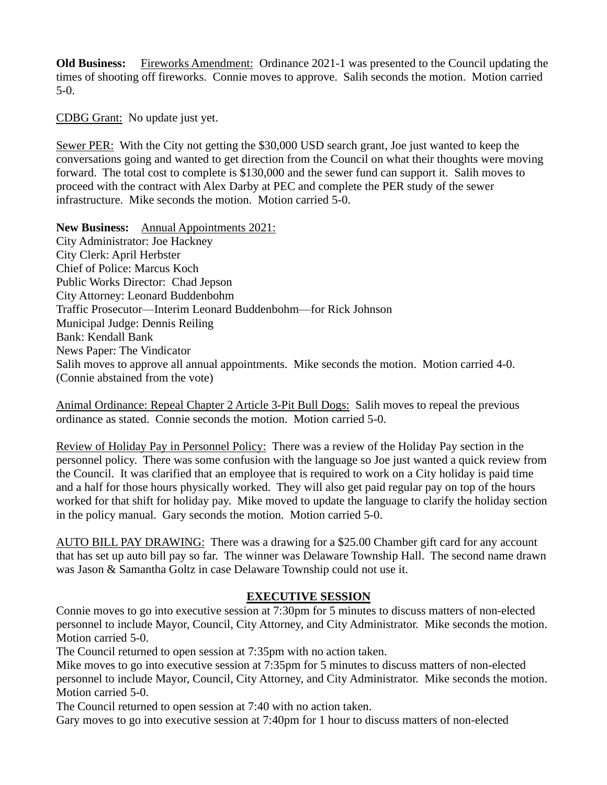**Old Business:** Fireworks Amendment: Ordinance 2021-1 was presented to the Council updating the times of shooting off fireworks. Connie moves to approve. Salih seconds the motion. Motion carried 5-0.

CDBG Grant: No update just yet.

Sewer PER: With the City not getting the \$30,000 USD search grant, Joe just wanted to keep the conversations going and wanted to get direction from the Council on what their thoughts were moving forward. The total cost to complete is \$130,000 and the sewer fund can support it. Salih moves to proceed with the contract with Alex Darby at PEC and complete the PER study of the sewer infrastructure. Mike seconds the motion. Motion carried 5-0.

**New Business:** Annual Appointments 2021: City Administrator: Joe Hackney City Clerk: April Herbster Chief of Police: Marcus Koch Public Works Director: Chad Jepson City Attorney: Leonard Buddenbohm Traffic Prosecutor—Interim Leonard Buddenbohm—for Rick Johnson Municipal Judge: Dennis Reiling Bank: Kendall Bank News Paper: The Vindicator Salih moves to approve all annual appointments. Mike seconds the motion. Motion carried 4-0. (Connie abstained from the vote)

Animal Ordinance: Repeal Chapter 2 Article 3-Pit Bull Dogs: Salih moves to repeal the previous ordinance as stated. Connie seconds the motion. Motion carried 5-0.

Review of Holiday Pay in Personnel Policy: There was a review of the Holiday Pay section in the personnel policy. There was some confusion with the language so Joe just wanted a quick review from the Council. It was clarified that an employee that is required to work on a City holiday is paid time and a half for those hours physically worked. They will also get paid regular pay on top of the hours worked for that shift for holiday pay. Mike moved to update the language to clarify the holiday section in the policy manual. Gary seconds the motion. Motion carried 5-0.

AUTO BILL PAY DRAWING: There was a drawing for a \$25.00 Chamber gift card for any account that has set up auto bill pay so far. The winner was Delaware Township Hall. The second name drawn was Jason & Samantha Goltz in case Delaware Township could not use it.

## **EXECUTIVE SESSION**

Connie moves to go into executive session at 7:30pm for 5 minutes to discuss matters of non-elected personnel to include Mayor, Council, City Attorney, and City Administrator. Mike seconds the motion. Motion carried 5-0.

The Council returned to open session at 7:35pm with no action taken.

Mike moves to go into executive session at 7:35pm for 5 minutes to discuss matters of non-elected personnel to include Mayor, Council, City Attorney, and City Administrator. Mike seconds the motion. Motion carried 5-0.

The Council returned to open session at 7:40 with no action taken.

Gary moves to go into executive session at 7:40pm for 1 hour to discuss matters of non-elected